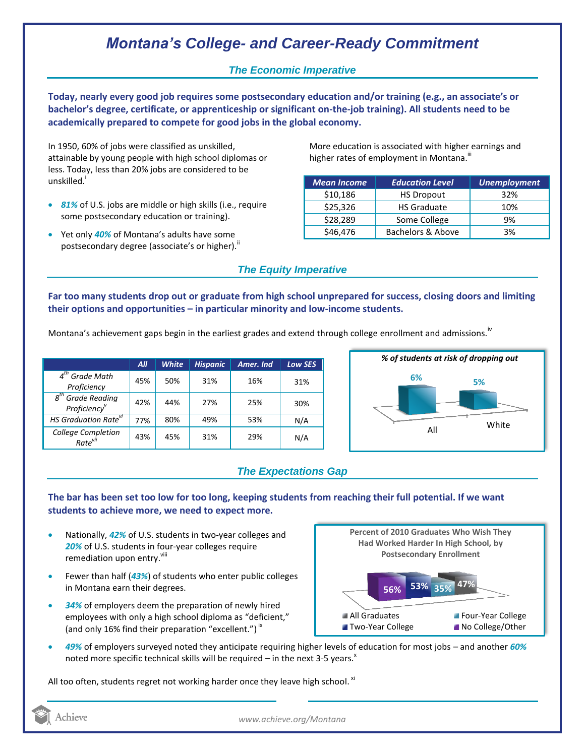# *Montana's College- and Career-Ready Commitment*

## *The Economic Imperative*

**Today, nearly every good job requires some postsecondary education and/or training (e.g., an associate's or bachelor's degree, certificate, or apprenticeship or significant on-the-job training). All students need to be academically prepared to compete for good jobs in the global economy.**

In 1950, 60% of jobs were classified as unskilled, attainable by young people with high school diplomas or less. Today, less than 20% jobs are considered to be unskilled.<sup>1</sup>

- *81%* of U.S. jobs are middle or high skills (i.e., require some postsecondary education or training).
- Yet only *40%* of Montana's adults have some postsecondary degree (associate's or higher).<sup>ii</sup>

More education is associated with higher earnings and higher rates of employment in Montana.<sup>""</sup>

| <b>Mean Income</b> | <b>Education Level</b> | <b>Unemployment</b> |
|--------------------|------------------------|---------------------|
| \$10,186           | <b>HS Dropout</b>      | 32%                 |
| \$25,326           | <b>HS Graduate</b>     | 10%                 |
| \$28,289           | Some College           | 9%                  |
| \$46,476           | Bachelors & Above      | 3%                  |

# *The Equity Imperative*

**Far too many students drop out or graduate from high school unprepared for success, closing doors and limiting their options and opportunities – in particular minority and low-income students.** 

Montana's achievement gaps begin in the earliest grades and extend through college enrollment and admissions.<sup>iv</sup>

|                                                              | All | <b>White</b> | <b>Hispanic</b> | Amer. Ind | <b>Low SES</b> |
|--------------------------------------------------------------|-----|--------------|-----------------|-----------|----------------|
| $4th$ Grade Math<br>Proficiency                              | 45% | 50%          | 31%             | 16%       | 31%            |
| <b>Grade Reading</b><br>$g^{th}$<br>Proficiency <sup>v</sup> | 42% | 44%          | 27%             | 25%       | 30%            |
| HS Graduation Rate <sup>vi</sup>                             | 77% | 80%          | 49%             | 53%       | N/A            |
| College Completion<br>Rate <sup>vii</sup>                    | 43% | 45%          | 31%             | 29%       | N/A            |



### *The Expectations Gap*

#### **The bar has been set too low for too long, keeping students from reaching their full potential. If we want students to achieve more, we need to expect more.**

- Nationally, *42%* of U.S. students in two-year colleges and *20%* of U.S. students in four-year colleges require remediation upon entry. Vill
- Fewer than half (*43%*) of students who enter public colleges in Montana earn their degrees.
- *34%* of employers deem the preparation of newly hired employees with only a high school diploma as "deficient," (and only 16% find their preparation "excellent.")<sup>ix</sup>



 *49%* of employers surveyed noted they anticipate requiring higher levels of education for most jobs – and another *60%* noted more specific technical skills will be required – in the next 3-5 years.<sup>x</sup>

All too often, students regret not working harder once they leave high school.  $^{\text{xi}}$ 

Achieve

*www.achieve.org/Montana*